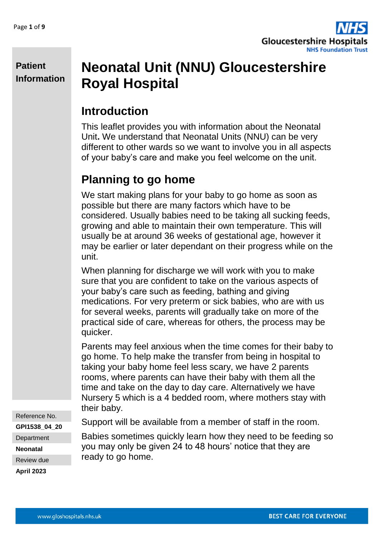

# **Neonatal Unit (NNU) Gloucestershire Royal Hospital**

## **Introduction**

This leaflet provides you with information about the Neonatal Unit**.** We understand that Neonatal Units (NNU) can be very different to other wards so we want to involve you in all aspects of your baby's care and make you feel welcome on the unit.

## **Planning to go home**

We start making plans for your baby to go home as soon as possible but there are many factors which have to be considered. Usually babies need to be taking all sucking feeds, growing and able to maintain their own temperature. This will usually be at around 36 weeks of gestational age, however it may be earlier or later dependant on their progress while on the unit.

When planning for discharge we will work with you to make sure that you are confident to take on the various aspects of your baby's care such as feeding, bathing and giving medications. For very preterm or sick babies, who are with us for several weeks, parents will gradually take on more of the practical side of care, whereas for others, the process may be quicker.

Parents may feel anxious when the time comes for their baby to go home. To help make the transfer from being in hospital to taking your baby home feel less scary, we have 2 parents rooms, where parents can have their baby with them all the time and take on the day to day care. Alternatively we have Nursery 5 which is a 4 bedded room, where mothers stay with their baby.

Support will be available from a member of staff in the room.

Babies sometimes quickly learn how they need to be feeding so you may only be given 24 to 48 hours' notice that they are ready to go home.

Reference No.

**GPI1538\_04\_20**

**Department** 

**Neonatal**

Review due

**April 2023**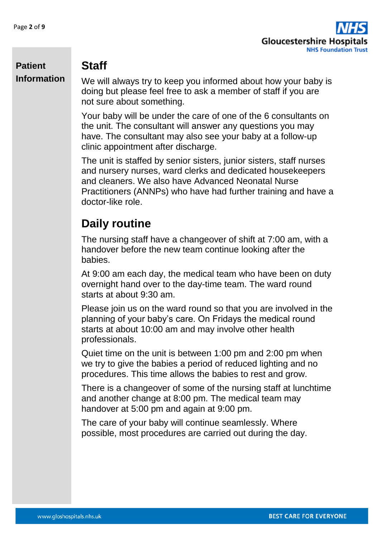

### **Staff**

We will always try to keep you informed about how your baby is doing but please feel free to ask a member of staff if you are not sure about something.

Your baby will be under the care of one of the 6 consultants on the unit. The consultant will answer any questions you may have. The consultant may also see your baby at a follow-up clinic appointment after discharge.

The unit is staffed by senior sisters, junior sisters, staff nurses and nursery nurses, ward clerks and dedicated housekeepers and cleaners. We also have Advanced Neonatal Nurse Practitioners (ANNPs) who have had further training and have a doctor-like role.

## **Daily routine**

The nursing staff have a changeover of shift at 7:00 am, with a handover before the new team continue looking after the babies.

At 9:00 am each day, the medical team who have been on duty overnight hand over to the day-time team. The ward round starts at about 9:30 am.

Please join us on the ward round so that you are involved in the planning of your baby's care. On Fridays the medical round starts at about 10:00 am and may involve other health professionals.

Quiet time on the unit is between 1:00 pm and 2:00 pm when we try to give the babies a period of reduced lighting and no procedures. This time allows the babies to rest and grow.

There is a changeover of some of the nursing staff at lunchtime and another change at 8:00 pm. The medical team may handover at 5:00 pm and again at 9:00 pm.

The care of your baby will continue seamlessly. Where possible, most procedures are carried out during the day.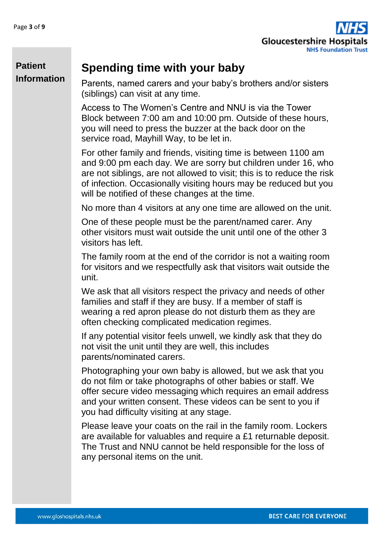

### **Spending time with your baby**

Parents, named carers and your baby's brothers and/or sisters (siblings) can visit at any time.

Access to The Women's Centre and NNU is via the Tower Block between 7:00 am and 10:00 pm. Outside of these hours, you will need to press the buzzer at the back door on the service road, Mayhill Way, to be let in.

For other family and friends, visiting time is between 1100 am and 9:00 pm each day. We are sorry but children under 16, who are not siblings, are not allowed to visit; this is to reduce the risk of infection. Occasionally visiting hours may be reduced but you will be notified of these changes at the time.

No more than 4 visitors at any one time are allowed on the unit.

One of these people must be the parent/named carer. Any other visitors must wait outside the unit until one of the other 3 visitors has left.

The family room at the end of the corridor is not a waiting room for visitors and we respectfully ask that visitors wait outside the unit.

We ask that all visitors respect the privacy and needs of other families and staff if they are busy. If a member of staff is wearing a red apron please do not disturb them as they are often checking complicated medication regimes.

If any potential visitor feels unwell, we kindly ask that they do not visit the unit until they are well, this includes parents/nominated carers.

Photographing your own baby is allowed, but we ask that you do not film or take photographs of other babies or staff. We offer secure video messaging which requires an email address and your written consent. These videos can be sent to you if you had difficulty visiting at any stage.

Please leave your coats on the rail in the family room. Lockers are available for valuables and require a £1 returnable deposit. The Trust and NNU cannot be held responsible for the loss of any personal items on the unit.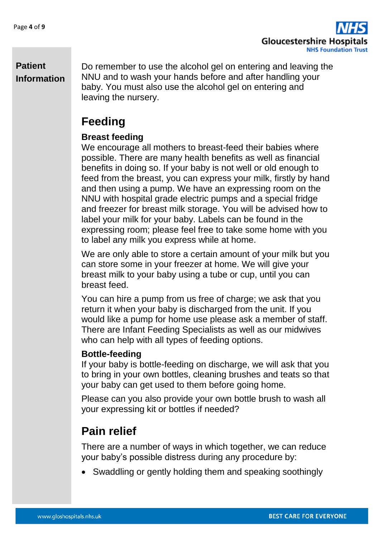

Do remember to use the alcohol gel on entering and leaving the NNU and to wash your hands before and after handling your baby. You must also use the alcohol gel on entering and leaving the nursery.

## **Feeding**

#### **Breast feeding**

We encourage all mothers to breast-feed their babies where possible. There are many health benefits as well as financial benefits in doing so. If your baby is not well or old enough to feed from the breast, you can express your milk, firstly by hand and then using a pump. We have an expressing room on the NNU with hospital grade electric pumps and a special fridge and freezer for breast milk storage. You will be advised how to label your milk for your baby. Labels can be found in the expressing room; please feel free to take some home with you to label any milk you express while at home.

We are only able to store a certain amount of your milk but you can store some in your freezer at home. We will give your breast milk to your baby using a tube or cup, until you can breast feed.

You can hire a pump from us free of charge; we ask that you return it when your baby is discharged from the unit. If you would like a pump for home use please ask a member of staff. There are Infant Feeding Specialists as well as our midwives who can help with all types of feeding options.

#### **Bottle-feeding**

If your baby is bottle-feeding on discharge, we will ask that you to bring in your own bottles, cleaning brushes and teats so that your baby can get used to them before going home.

Please can you also provide your own bottle brush to wash all your expressing kit or bottles if needed?

## **Pain relief**

There are a number of ways in which together, we can reduce your baby's possible distress during any procedure by:

• Swaddling or gently holding them and speaking soothingly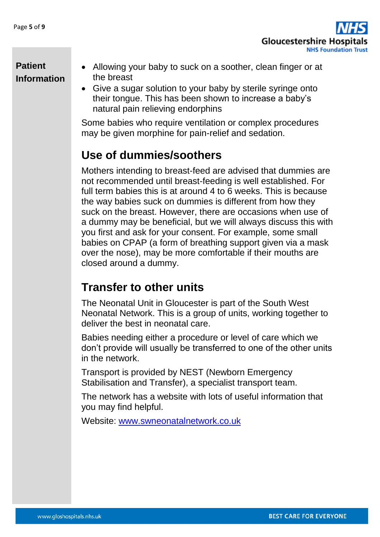

- Allowing your baby to suck on a soother, clean finger or at the breast
- Give a sugar solution to your baby by sterile syringe onto their tongue. This has been shown to increase a baby's natural pain relieving endorphins

Some babies who require ventilation or complex procedures may be given morphine for pain-relief and sedation.

## **Use of dummies/soothers**

Mothers intending to breast-feed are advised that dummies are not recommended until breast-feeding is well established. For full term babies this is at around 4 to 6 weeks. This is because the way babies suck on dummies is different from how they suck on the breast. However, there are occasions when use of a dummy may be beneficial, but we will always discuss this with you first and ask for your consent. For example, some small babies on CPAP (a form of breathing support given via a mask over the nose), may be more comfortable if their mouths are closed around a dummy.

## **Transfer to other units**

The Neonatal Unit in Gloucester is part of the South West Neonatal Network. This is a group of units, working together to deliver the best in neonatal care.

Babies needing either a procedure or level of care which we don't provide will usually be transferred to one of the other units in the network.

Transport is provided by NEST (Newborn Emergency Stabilisation and Transfer), a specialist transport team.

The network has a website with lots of useful information that you may find helpful.

Website: [www.swneonatalnetwork.co.uk](http://www.swneonatalnetwork.co.uk/)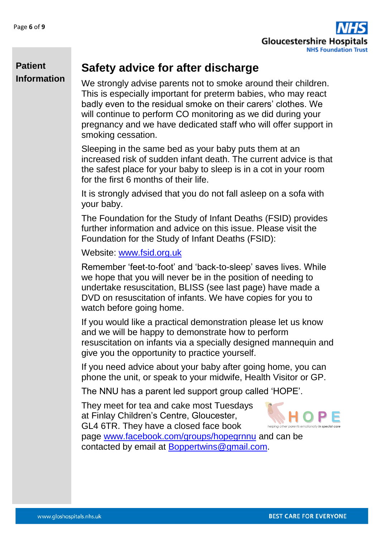

### **Safety advice for after discharge**

We strongly advise parents not to smoke around their children. This is especially important for preterm babies, who may react badly even to the residual smoke on their carers' clothes. We will continue to perform CO monitoring as we did during your pregnancy and we have dedicated staff who will offer support in smoking cessation.

Sleeping in the same bed as your baby puts them at an increased risk of sudden infant death. The current advice is that the safest place for your baby to sleep is in a cot in your room for the first 6 months of their life.

It is strongly advised that you do not fall asleep on a sofa with your baby.

The Foundation for the Study of Infant Deaths (FSID) provides further information and advice on this issue. Please visit the Foundation for the Study of Infant Deaths (FSID):

Website: [www.fsid.org.uk](http://www.fsid.org.uk/)

Remember 'feet-to-foot' and 'back-to-sleep' saves lives. While we hope that you will never be in the position of needing to undertake resuscitation, BLISS (see last page) have made a DVD on resuscitation of infants. We have copies for you to watch before going home.

If you would like a practical demonstration please let us know and we will be happy to demonstrate how to perform resuscitation on infants via a specially designed mannequin and give you the opportunity to practice yourself.

If you need advice about your baby after going home, you can phone the unit, or speak to your midwife, Health Visitor or GP.

The NNU has a parent led support group called 'HOPE'.

They meet for tea and cake most Tuesdays at Finlay Children's Centre, Gloucester, GL4 6TR. They have a closed face book



page [www.facebook.com/groups/hopegrnnu](http://www.facebook.com/groups/hopegrnnu) and can be contacted by email at [Boppertwins@gmail.com.](mailto:Boppertwins@gmail.com)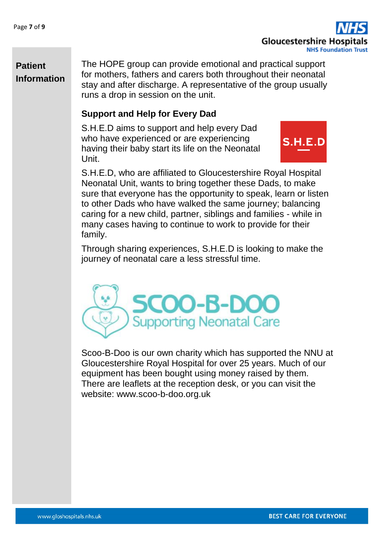

The HOPE group can provide emotional and practical support for mothers, fathers and carers both throughout their neonatal stay and after discharge. A representative of the group usually runs a drop in session on the unit.

#### **Support and Help for Every Dad**

S.H.E.D aims to support and help every Dad who have experienced or are experiencing having their baby start its life on the Neonatal Unit.



S.H.E.D, who are affiliated to Gloucestershire Royal Hospital Neonatal Unit, wants to bring together these Dads, to make sure that everyone has the opportunity to speak, learn or listen to other Dads who have walked the same journey; balancing caring for a new child, partner, siblings and families - while in many cases having to continue to work to provide for their family.

Through sharing experiences, S.H.E.D is looking to make the journey of neonatal care a less stressful time.



Scoo-B-Doo is our own charity which has supported the NNU at Gloucestershire Royal Hospital for over 25 years. Much of our equipment has been bought using money raised by them. There are leaflets at the reception desk, or you can visit the website: www.scoo-b-doo.org.uk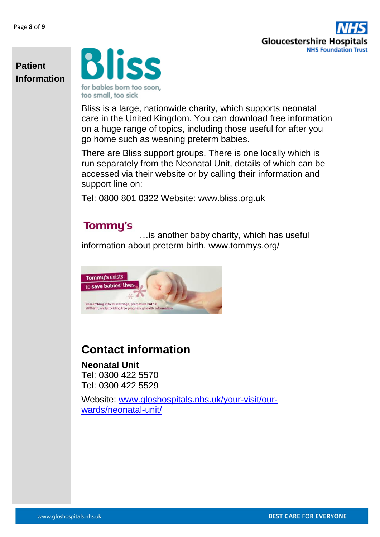

**Bliss** for babies born too soon,

too small, too sick

Bliss is a large, nationwide charity, which supports neonatal care in the United Kingdom. You can download free information on a huge range of topics, including those useful for after you go home such as weaning preterm babies.

There are Bliss support groups. There is one locally which is run separately from the Neonatal Unit, details of which can be accessed via their website or by calling their information and support line on:

Tel: 0800 801 0322 Website: www.bliss.org.uk

### **Tommy's**

…is another baby charity, which has useful information about preterm birth. www.tommys.org/



## **Contact information**

**Neonatal Unit**  Tel: 0300 422 5570 Tel: 0300 422 5529

Website: [www.gloshospitals.nhs.uk/your-visit/our](http://www.gloshospitals.nhs.uk/your-visit/our-wards/neonatal-unit/)[wards/neonatal-unit/](http://www.gloshospitals.nhs.uk/your-visit/our-wards/neonatal-unit/)